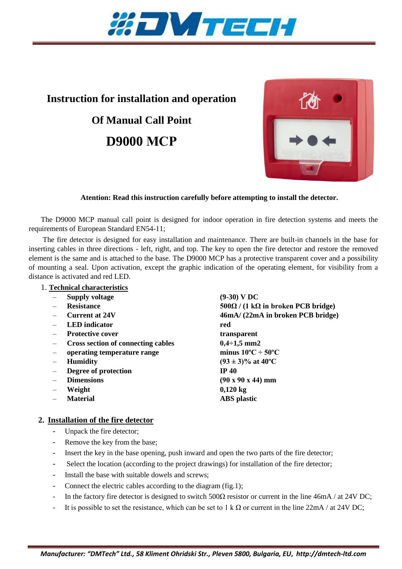

# **Instruction for installation and operation**

# **Of Manual Call Point D9000 МСР**



## **Atention: Read this instruction carefully before attempting to install the detector.**

The D9000 MCP manual call point is designed for indoor operation in fire detection systems and meets the requirements of European Standard EN54-11;

The fire detector is designed for easy installation and maintenance. There are built-in channels in the base for inserting cables in three directions - left, right, and top. The key to open the fire detector and restore the removed element is the same and is attached to the base. The D9000 MCP has a protective transparent cover and a possibility of mounting a seal. Upon activation, except the graphic indication of the operating element, for visibility from a distance is activated and red LED.

### 1. **Technical characteristics**

- **Supply voltage (9-30) V DC**
- 
- 
- **LED indicator red**
- Protective cover transparent
- **Cross section of connecting cables 0,4÷1,5 mm2**
- **operating temperature range minus 10ºС ÷ 50ºС**
- 
- **Degree of protection IP 40**
- 
- 
- 

– **Resistance 500Ω / (1 kΩ in broken PCB bridge)**  – **Current at 24V 46mA/ (22mA in broken PCB bridge) Humidity** (93  $\pm$  3)% at 40<sup>o</sup>C – **Dimensions (90 х 90 х 44) mm** – **Weight 0,120 kg** – **Material ABS plastic**

# **2. Installation of the fire detector**

- Unpack the fire detector;
- Remove the key from the base;
- Insert the key in the base opening, push inward and open the two parts of the fire detector;
- Select the location (according to the project drawings) for installation of the fire detector;
- Install the base with suitable dowels and screws;
- Connect the electric cables according to the diagram (fig.1);
- In the factory fire detector is designed to switch  $500\Omega$  resistor or current in the line 46mA / at 24V DC;
- It is possible to set the resistance, which can be set to 1 k  $\Omega$  or current in the line 22mA / at 24V DC;